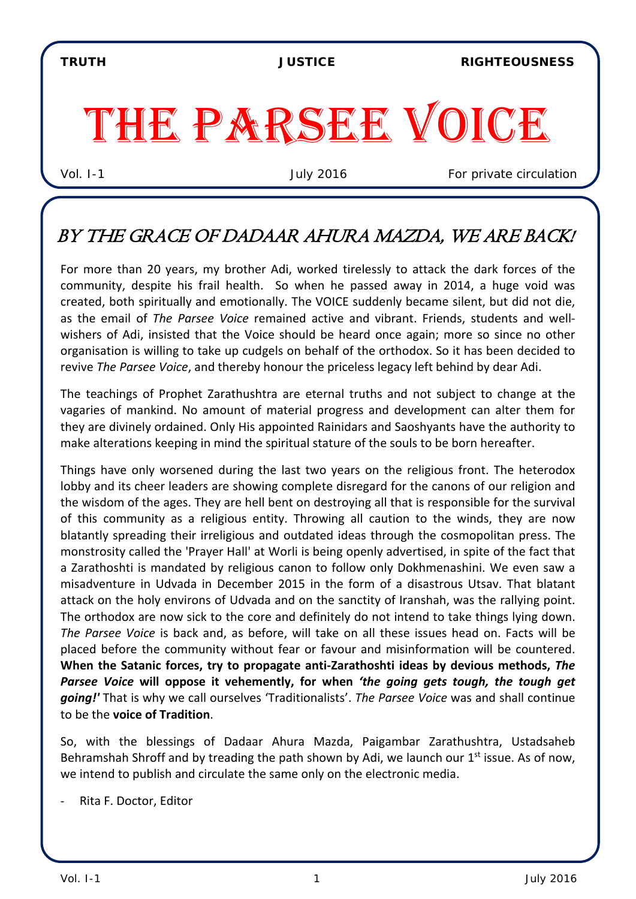TRUTH JUSTICE RIGHTEOUSNESS

# THE PARSEE VOICE

Vol. I-1 July 2016 *For private circulation*

## BY THE GRACE OF DADAAR AHURA MAZDA, WE ARE BACK!

For more than 20 years, my brother Adi, worked tirelessly to attack the dark forces of the community, despite his frail health. So when he passed away in 2014, a huge void was created, both spiritually and emotionally. The VOICE suddenly became silent, but did not die, as the email of *The Parsee Voice* remained active and vibrant. Friends, students and wellwishers of Adi, insisted that the Voice should be heard once again; more so since no other organisation is willing to take up cudgels on behalf of the orthodox. So it has been decided to revive *The Parsee Voice*, and thereby honour the priceless legacy left behind by dear Adi.

The teachings of Prophet Zarathushtra are eternal truths and not subject to change at the vagaries of mankind. No amount of material progress and development can alter them for they are divinely ordained. Only His appointed Rainidars and Saoshyants have the authority to make alterations keeping in mind the spiritual stature of the souls to be born hereafter.

Things have only worsened during the last two years on the religious front. The heterodox lobby and its cheer leaders are showing complete disregard for the canons of our religion and the wisdom of the ages. They are hell bent on destroying all that is responsible for the survival of this community as a religious entity. Throwing all caution to the winds, they are now blatantly spreading their irreligious and outdated ideas through the cosmopolitan press. The monstrosity called the 'Prayer Hall' at Worli is being openly advertised, in spite of the fact that a Zarathoshti is mandated by religious canon to follow only Dokhmenashini. We even saw a misadventure in Udvada in December 2015 in the form of a disastrous Utsav. That blatant attack on the holy environs of Udvada and on the sanctity of Iranshah, was the rallying point. The orthodox are now sick to the core and definitely do not intend to take things lying down. *The Parsee Voice* is back and, as before, will take on all these issues head on. Facts will be placed before the community without fear or favour and misinformation will be countered. **When the Satanic forces, try to propagate anti-Zarathoshti ideas by devious methods,** *The Parsee Voice* **will oppose it vehemently, for when** *'the going gets tough, the tough get going!'* That is why we call ourselves 'Traditionalists'. *The Parsee Voice* was and shall continue to be the **voice of Tradition**.

So, with the blessings of Dadaar Ahura Mazda, Paigambar Zarathushtra, Ustadsaheb Behramshah Shroff and by treading the path shown by Adi, we launch our  $1<sup>st</sup>$  issue. As of now, we intend to publish and circulate the same only on the electronic media.

Rita F. Doctor, Editor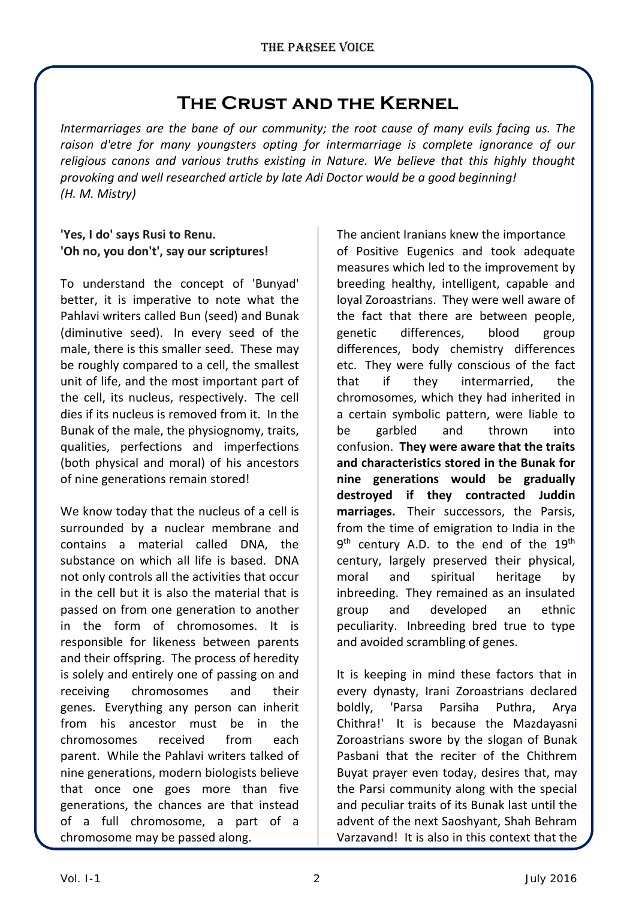## **The Crust and the Kernel**

*Intermarriages are the bane of our community; the root cause of many evils facing us. The raison d'etre for many youngsters opting for intermarriage is complete ignorance of our religious canons and various truths existing in Nature. We believe that this highly thought provoking and well researched article by late Adi Doctor would be a good beginning! (H. M. Mistry)*

#### **'Yes, I do' says Rusi to Renu. 'Oh no, you don't', say our scriptures!**

To understand the concept of 'Bunyad' better, it is imperative to note what the Pahlavi writers called Bun (seed) and Bunak (diminutive seed). In every seed of the male, there is this smaller seed. These may be roughly compared to a cell, the smallest unit of life, and the most important part of the cell, its nucleus, respectively. The cell dies if its nucleus is removed from it. In the Bunak of the male, the physiognomy, traits, qualities, perfections and imperfections (both physical and moral) of his ancestors of nine generations remain stored!

We know today that the nucleus of a cell is surrounded by a nuclear membrane and contains a material called DNA, the substance on which all life is based. DNA not only controls all the activities that occur in the cell but it is also the material that is passed on from one generation to another in the form of chromosomes. It is responsible for likeness between parents and their offspring. The process of heredity is solely and entirely one of passing on and receiving chromosomes and their genes. Everything any person can inherit from his ancestor must be in the chromosomes received from each parent. While the Pahlavi writers talked of nine generations, modern biologists believe that once one goes more than five generations, the chances are that instead of a full chromosome, a part of a chromosome may be passed along.

The ancient Iranians knew the importance of Positive Eugenics and took adequate measures which led to the improvement by breeding healthy, intelligent, capable and loyal Zoroastrians. They were well aware of the fact that there are between people, genetic differences, blood group differences, body chemistry differences etc. They were fully conscious of the fact that if they intermarried, the chromosomes, which they had inherited in a certain symbolic pattern, were liable to be garbled and thrown into confusion. **They were aware that the traits and characteristics stored in the Bunak for nine generations would be gradually destroyed if they contracted Juddin marriages.** Their successors, the Parsis, from the time of emigration to India in the  $9<sup>th</sup>$  century A.D. to the end of the  $19<sup>th</sup>$ century, largely preserved their physical, moral and spiritual heritage by inbreeding. They remained as an insulated group and developed an ethnic peculiarity. Inbreeding bred true to type and avoided scrambling of genes.

It is keeping in mind these factors that in every dynasty, Irani Zoroastrians declared boldly, 'Parsa Parsiha Puthra, Arya Chithra!' It is because the Mazdayasni Zoroastrians swore by the slogan of Bunak Pasbani that the reciter of the Chithrem Buyat prayer even today, desires that, may the Parsi community along with the special and peculiar traits of its Bunak last until the advent of the next Saoshyant, Shah Behram Varzavand! It is also in this context that the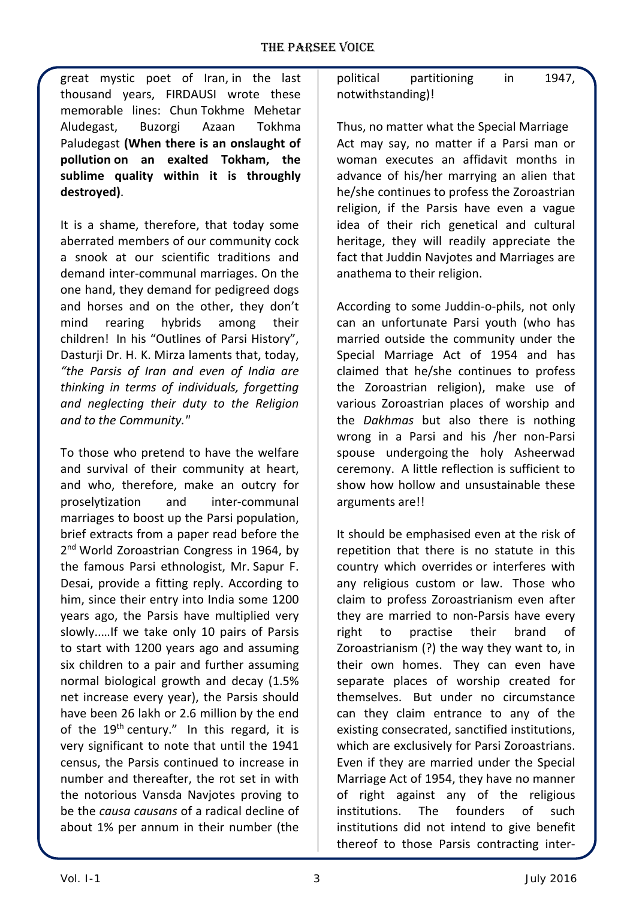great mystic poet of Iran, in the last thousand years, FIRDAUSI wrote these memorable lines: Chun Tokhme Mehetar Aludegast, Buzorgi Azaan Tokhma Paludegast **(When there is an onslaught of pollution on an exalted Tokham, the sublime quality within it is throughly destroyed)**.

It is a shame, therefore, that today some aberrated members of our community cock a snook at our scientific traditions and demand inter-communal marriages. On the one hand, they demand for pedigreed dogs and horses and on the other, they don't mind rearing hybrids among their children! In his "Outlines of Parsi History", Dasturji Dr. H. K. Mirza laments that, today, *"the Parsis of Iran and even of India are thinking in terms of individuals, forgetting and neglecting their duty to the Religion and to the Community."*

To those who pretend to have the welfare and survival of their community at heart, and who, therefore, make an outcry for proselytization and inter-communal marriages to boost up the Parsi population, brief extracts from a paper read before the 2<sup>nd</sup> World Zoroastrian Congress in 1964, by the famous Parsi ethnologist, Mr. Sapur F. Desai, provide a fitting reply. According to him, since their entry into India some 1200 years ago, the Parsis have multiplied very slowly..…If we take only 10 pairs of Parsis to start with 1200 years ago and assuming six children to a pair and further assuming normal biological growth and decay (1.5% net increase every year), the Parsis should have been 26 lakh or 2.6 million by the end of the  $19<sup>th</sup>$  century." In this regard, it is very significant to note that until the 1941 census, the Parsis continued to increase in number and thereafter, the rot set in with the notorious Vansda Navjotes proving to be the *causa causans* of a radical decline of about 1% per annum in their number (the political partitioning in 1947, notwithstanding)!

Thus, no matter what the Special Marriage Act may say, no matter if a Parsi man or woman executes an affidavit months in advance of his/her marrying an alien that he/she continues to profess the Zoroastrian religion, if the Parsis have even a vague idea of their rich genetical and cultural heritage, they will readily appreciate the fact that Juddin Navjotes and Marriages are anathema to their religion.

According to some Juddin-o-phils, not only can an unfortunate Parsi youth (who has married outside the community under the Special Marriage Act of 1954 and has claimed that he/she continues to profess the Zoroastrian religion), make use of various Zoroastrian places of worship and the *Dakhmas* but also there is nothing wrong in a Parsi and his /her non-Parsi spouse undergoing the holy Asheerwad ceremony. A little reflection is sufficient to show how hollow and unsustainable these arguments are!!

It should be emphasised even at the risk of repetition that there is no statute in this country which overrides or interferes with any religious custom or law. Those who claim to profess Zoroastrianism even after they are married to non-Parsis have every right to practise their brand of Zoroastrianism (?) the way they want to, in their own homes. They can even have separate places of worship created for themselves. But under no circumstance can they claim entrance to any of the existing consecrated, sanctified institutions, which are exclusively for Parsi Zoroastrians. Even if they are married under the Special Marriage Act of 1954, they have no manner of right against any of the religious institutions. The founders of such institutions did not intend to give benefit thereof to those Parsis contracting inter-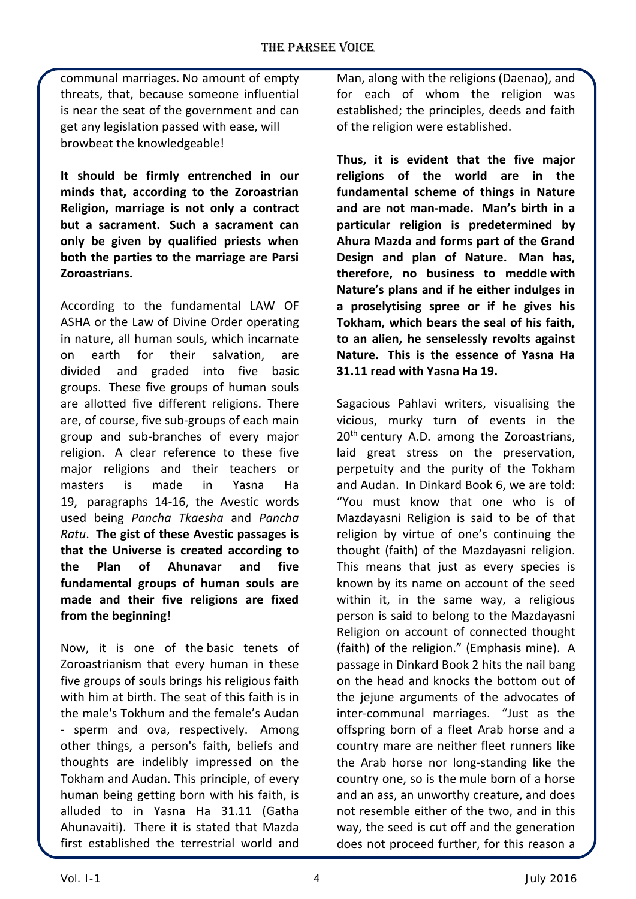communal marriages. No amount of empty threats, that, because someone influential is near the seat of the government and can get any legislation passed with ease, will browbeat the knowledgeable!

**It should be firmly entrenched in our minds that, according to the Zoroastrian Religion, marriage is not only a contract but a sacrament. Such a sacrament can only be given by qualified priests when both the parties to the marriage are Parsi Zoroastrians.**

According to the fundamental LAW OF ASHA or the Law of Divine Order operating in nature, all human souls, which incarnate on earth for their salvation, are divided and graded into five basic groups. These five groups of human souls are allotted five different religions. There are, of course, five sub-groups of each main group and sub-branches of every major religion. A clear reference to these five major religions and their teachers or masters is made in Yasna Ha 19, paragraphs 14-16, the Avestic words used being *Pancha Tkaesha* and *Pancha Ratu*. **The gist of these Avestic passages is that the Universe is created according to the Plan of Ahunavar and five fundamental groups of human souls are made and their five religions are fixed from the beginning**!

Now, it is one of the basic tenets of Zoroastrianism that every human in these five groups of souls brings his religious faith with him at birth. The seat of this faith is in the male's Tokhum and the female's Audan - sperm and ova, respectively. Among other things, a person's faith, beliefs and thoughts are indelibly impressed on the Tokham and Audan. This principle, of every human being getting born with his faith, is alluded to in Yasna Ha 31.11 (Gatha Ahunavaiti). There it is stated that Mazda first established the terrestrial world and

Man, along with the religions (Daenao), and for each of whom the religion was established; the principles, deeds and faith of the religion were established.

**Thus, it is evident that the five major religions of the world are in the fundamental scheme of things in Nature and are not man-made. Man's birth in a particular religion is predetermined by Ahura Mazda and forms part of the Grand Design and plan of Nature. Man has, therefore, no business to meddle with Nature's plans and if he either indulges in a proselytising spree or if he gives his Tokham, which bears the seal of his faith, to an alien, he senselessly revolts against Nature. This is the essence of Yasna Ha 31.11 read with Yasna Ha 19.**

Sagacious Pahlavi writers, visualising the vicious, murky turn of events in the  $20<sup>th</sup>$  century A.D. among the Zoroastrians, laid great stress on the preservation, perpetuity and the purity of the Tokham and Audan. In Dinkard Book 6, we are told: "You must know that one who is of Mazdayasni Religion is said to be of that religion by virtue of one's continuing the thought (faith) of the Mazdayasni religion. This means that just as every species is known by its name on account of the seed within it, in the same way, a religious person is said to belong to the Mazdayasni Religion on account of connected thought (faith) of the religion." (Emphasis mine). A passage in Dinkard Book 2 hits the nail bang on the head and knocks the bottom out of the jejune arguments of the advocates of inter-communal marriages. "Just as the offspring born of a fleet Arab horse and a country mare are neither fleet runners like the Arab horse nor long-standing like the country one, so is the mule born of a horse and an ass, an unworthy creature, and does not resemble either of the two, and in this way, the seed is cut off and the generation does not proceed further, for this reason a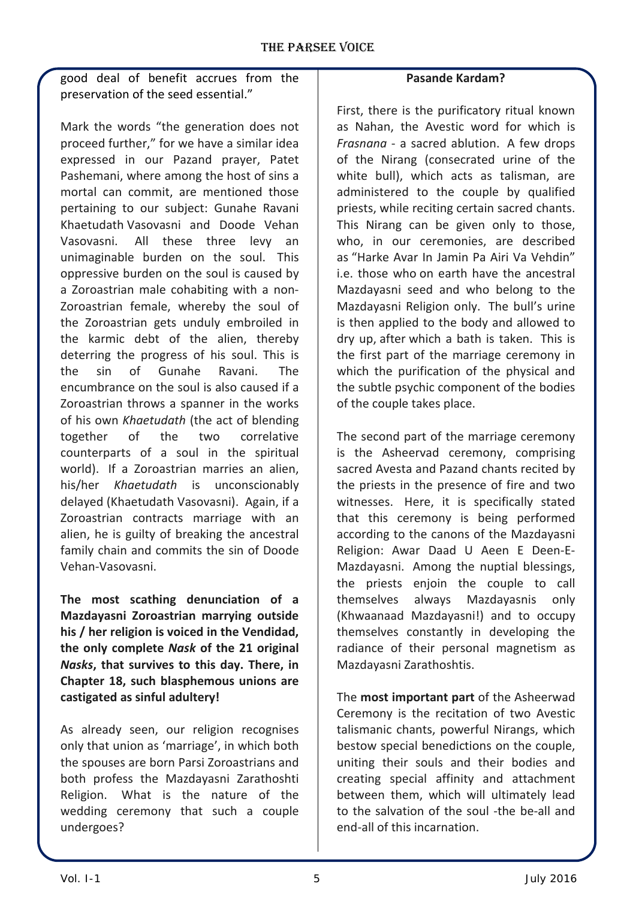good deal of benefit accrues from the preservation of the seed essential."

Mark the words "the generation does not proceed further," for we have a similar idea expressed in our Pazand prayer, Patet Pashemani, where among the host of sins a mortal can commit, are mentioned those pertaining to our subject: Gunahe Ravani Khaetudath Vasovasni and Doode Vehan Vasovasni. All these three levy an unimaginable burden on the soul. This oppressive burden on the soul is caused by a Zoroastrian male cohabiting with a non-Zoroastrian female, whereby the soul of the Zoroastrian gets unduly embroiled in the karmic debt of the alien, thereby deterring the progress of his soul. This is the sin of Gunahe Ravani. The encumbrance on the soul is also caused if a Zoroastrian throws a spanner in the works of his own *Khaetudath* (the act of blending together of the two correlative counterparts of a soul in the spiritual world). If a Zoroastrian marries an alien, his/her *Khaetudath* is unconscionably delayed (Khaetudath Vasovasni). Again, if a Zoroastrian contracts marriage with an alien, he is guilty of breaking the ancestral family chain and commits the sin of Doode Vehan-Vasovasni.

**The most scathing denunciation of a Mazdayasni Zoroastrian marrying outside his / her religion is voiced in the Vendidad, the only complete** *Nask* **of the 21 original**  *Nasks***, that survives to this day. There, in Chapter 18, such blasphemous unions are castigated as sinful adultery!**

As already seen, our religion recognises only that union as 'marriage', in which both the spouses are born Parsi Zoroastrians and both profess the Mazdayasni Zarathoshti Religion. What is the nature of the wedding ceremony that such a couple undergoes?

### **Pasande Kardam?**

First, there is the purificatory ritual known as Nahan, the Avestic word for which is *Frasnana* - a sacred ablution. A few drops of the Nirang (consecrated urine of the white bull), which acts as talisman, are administered to the couple by qualified priests, while reciting certain sacred chants. This Nirang can be given only to those, who, in our ceremonies, are described as "Harke Avar In Jamin Pa Airi Va Vehdin" i.e. those who on earth have the ancestral Mazdayasni seed and who belong to the Mazdayasni Religion only. The bull's urine is then applied to the body and allowed to dry up, after which a bath is taken. This is the first part of the marriage ceremony in which the purification of the physical and the subtle psychic component of the bodies of the couple takes place.

The second part of the marriage ceremony is the Asheervad ceremony, comprising sacred Avesta and Pazand chants recited by the priests in the presence of fire and two witnesses. Here, it is specifically stated that this ceremony is being performed according to the canons of the Mazdayasni Religion: Awar Daad U Aeen E Deen-E-Mazdayasni. Among the nuptial blessings, the priests enjoin the couple to call themselves always Mazdayasnis only (Khwaanaad Mazdayasni!) and to occupy themselves constantly in developing the radiance of their personal magnetism as Mazdayasni Zarathoshtis.

The **most important part** of the Asheerwad Ceremony is the recitation of two Avestic talismanic chants, powerful Nirangs, which bestow special benedictions on the couple, uniting their souls and their bodies and creating special affinity and attachment between them, which will ultimately lead to the salvation of the soul -the be-all and end-all of this incarnation.